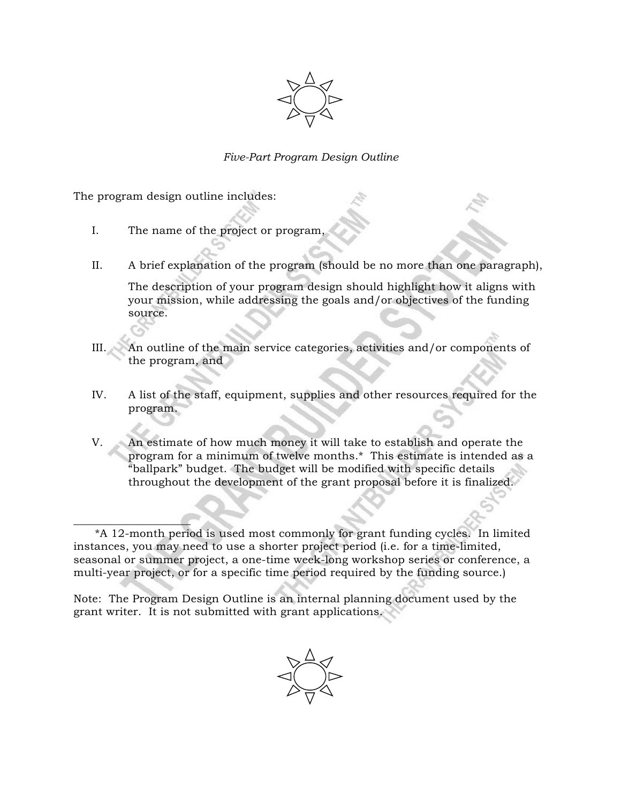

#### *Five-Part Program Design Outline*

The program design outline includes:

 $\blacksquare$ 

- I. The name of the project or program,
- II. A brief explanation of the program (should be no more than one paragraph),

The description of your program design should highlight how it aligns with your mission, while addressing the goals and/or objectives of the funding source.

- III. An outline of the main service categories, activities and/or components of the program, and
- IV. A list of the staff, equipment, supplies and other resources required for the program.
- V. An estimate of how much money it will take to establish and operate the program for a minimum of twelve months.\* This estimate is intended as a "ballpark" budget. The budget will be modified with specific details throughout the development of the grant proposal before it is finalized.

Note: The Program Design Outline is an internal planning document used by the grant writer. It is not submitted with grant applications.



 <sup>\*</sup>A 12-month period is used most commonly for grant funding cycles. In limited instances, you may need to use a shorter project period (i.e. for a time-limited, seasonal or summer project, a one-time week-long workshop series or conference, a multi-year project, or for a specific time period required by the funding source.)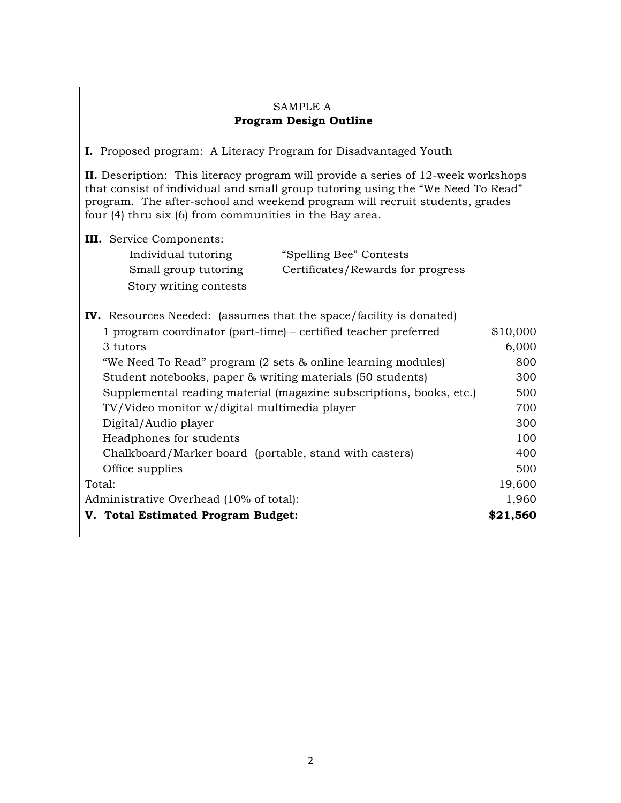# SAMPLE A  **Program Design Outline**

**I.** Proposed program: A Literacy Program for Disadvantaged Youth

**II.** Description: This literacy program will provide a series of 12-week workshops that consist of individual and small group tutoring using the "We Need To Read" program. The after-school and weekend program will recruit students, grades four (4) thru six (6) from communities in the Bay area.

**III.** Service Components:

| Individual tutoring    | "Spelling Bee" Contests           |
|------------------------|-----------------------------------|
| Small group tutoring   | Certificates/Rewards for progress |
| Story writing contests |                                   |

| <b>IV.</b> Resources Needed: (assumes that the space/facility is donated) |          |
|---------------------------------------------------------------------------|----------|
| 1 program coordinator (part-time) – certified teacher preferred           | \$10,000 |
| 3 tutors                                                                  | 6,000    |
| "We Need To Read" program (2 sets & online learning modules)              | 800      |
| Student notebooks, paper & writing materials (50 students)                | 300      |
| Supplemental reading material (magazine subscriptions, books, etc.)       | 500      |
| TV/Video monitor w/digital multimedia player                              | 700      |
| Digital/Audio player                                                      | 300      |
| Headphones for students                                                   | 100      |
| Chalkboard/Marker board (portable, stand with casters)                    | 400      |
| Office supplies                                                           | 500      |
| Total:                                                                    | 19,600   |
| Administrative Overhead (10% of total):                                   | 1,960    |
| V. Total Estimated Program Budget:                                        | \$21,560 |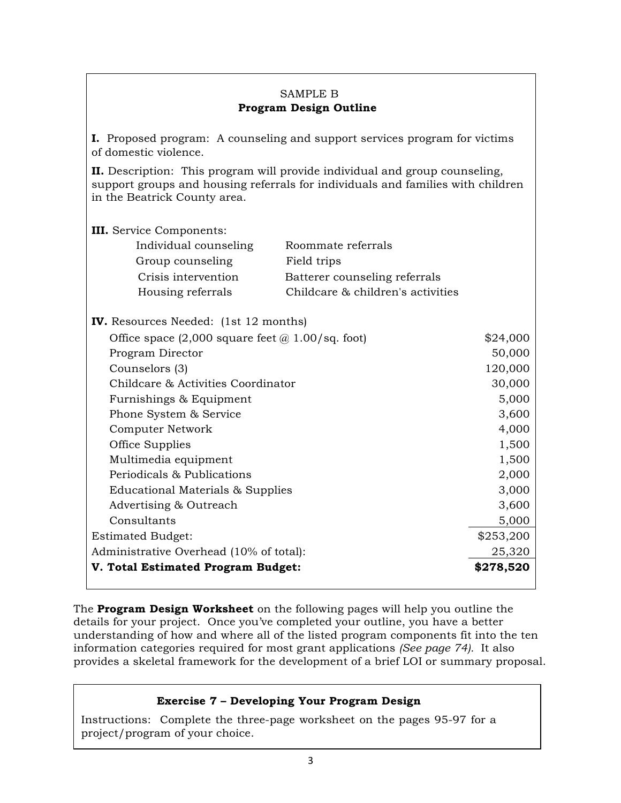# SAMPLE B  **Program Design Outline**

**I.** Proposed program: A counseling and support services program for victims of domestic violence.

**II.** Description: This program will provide individual and group counseling, support groups and housing referrals for individuals and families with children in the Beatrick County area.

#### **III.** Service Components:

| Individual counseling | Roommate referrals                |
|-----------------------|-----------------------------------|
| Group counseling      | Field trips                       |
| Crisis intervention   | Batterer counseling referrals     |
| Housing referrals     | Childcare & children's activities |

| V. Total Estimated Program Budget:                        | \$278,520 |
|-----------------------------------------------------------|-----------|
| Administrative Overhead (10% of total):                   | 25,320    |
| <b>Estimated Budget:</b>                                  | \$253,200 |
| Consultants                                               | 5,000     |
| Advertising & Outreach                                    | 3,600     |
| Educational Materials & Supplies                          | 3,000     |
| Periodicals & Publications                                | 2,000     |
| Multimedia equipment                                      | 1,500     |
| Office Supplies                                           | 1,500     |
| Computer Network                                          | 4,000     |
| Phone System & Service                                    | 3,600     |
| Furnishings & Equipment                                   | 5,000     |
| Childcare & Activities Coordinator                        | 30,000    |
| Counselors (3)                                            | 120,000   |
| Program Director                                          | 50,000    |
| Office space $(2,000$ square feet $\omega$ 1.00/sq. foot) | \$24,000  |
| <b>IV.</b> Resources Needed: (1st 12 months)              |           |

The **Program Design Worksheet** on the following pages will help you outline the details for your project. Once you've completed your outline, you have a better understanding of how and where all of the listed program components fit into the ten information categories required for most grant applications *(See page 74).* It also provides a skeletal framework for the development of a brief LOI or summary proposal.

## **Exercise 7 – Developing Your Program Design**

Instructions: Complete the three-page worksheet on the pages 95-97 for a project/program of your choice.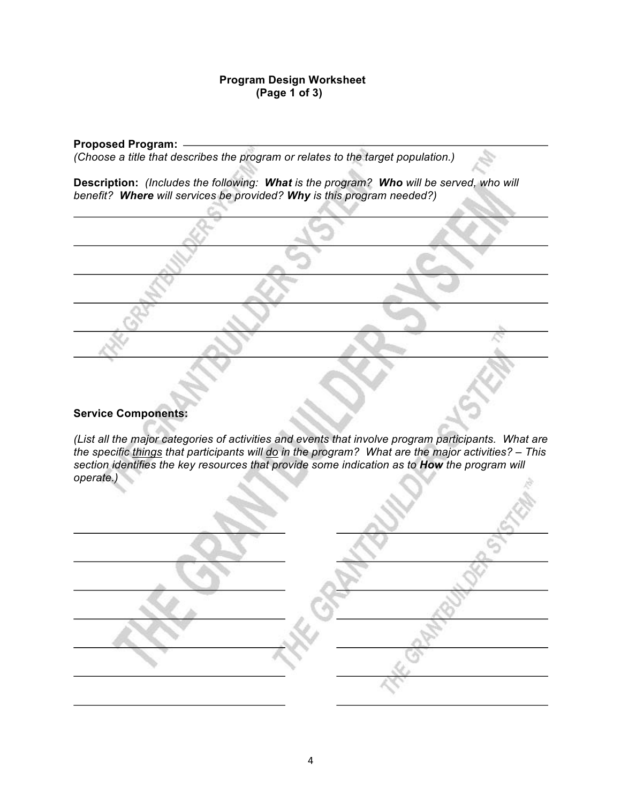#### **Program Design Worksheet (Page 1 of 3)**

**Proposed Program:**

*(Choose a title that describes the program or relates to the target population.)*

**Description:** *(Includes the following: What is the program? Who will be served, who will benefit? Where will services be provided? Why is this program needed?)*

## **Service Components:**

*(List all the major categories of activities and events that involve program participants. What are the specific things that participants will do in the program? What are the major activities? – This section identifies the key resources that provide some indication as to How the program will operate.)*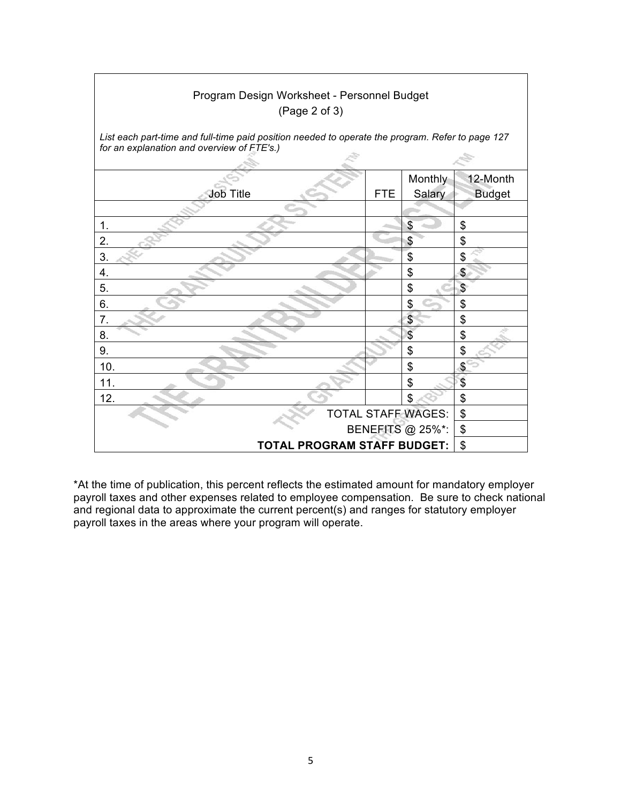| Program Design Worksheet - Personnel Budget<br>(Page 2 of 3)                                                                                   |            |                           |                           |
|------------------------------------------------------------------------------------------------------------------------------------------------|------------|---------------------------|---------------------------|
| List each part-time and full-time paid position needed to operate the program. Refer to page 127<br>for an explanation and overview of FTE's.) |            |                           |                           |
| <b>Job Title</b>                                                                                                                               | <b>FTE</b> | Monthly<br>Salary         | 12-Month<br><b>Budget</b> |
|                                                                                                                                                |            |                           |                           |
| 1.                                                                                                                                             |            | \$                        | \$                        |
| 2.                                                                                                                                             |            | \$                        | \$                        |
| 3.                                                                                                                                             |            | \$                        | \$                        |
| 4.                                                                                                                                             |            | \$                        | \$                        |
| 5.                                                                                                                                             |            | \$                        | $\mathsf{\$}$             |
| 6.                                                                                                                                             |            | \$                        | \$                        |
| 7.                                                                                                                                             |            | \$                        | \$                        |
| 8.                                                                                                                                             |            | \$                        | \$                        |
| 9.                                                                                                                                             |            | \$                        | \$                        |
| 10.                                                                                                                                            |            | \$                        | \$                        |
| 11.                                                                                                                                            |            | \$                        | $\mathfrak{F}$            |
| 12.                                                                                                                                            |            | \$                        | \$                        |
|                                                                                                                                                |            | <b>TOTAL STAFF WAGES:</b> | \$                        |
| <b>BENEFITS @ 25%*:</b>                                                                                                                        |            |                           | \$                        |
| <b>TOTAL PROGRAM STAFF BUDGET:</b>                                                                                                             |            |                           | \$                        |

\*At the time of publication, this percent reflects the estimated amount for mandatory employer payroll taxes and other expenses related to employee compensation. Be sure to check national and regional data to approximate the current percent(s) and ranges for statutory employer payroll taxes in the areas where your program will operate.